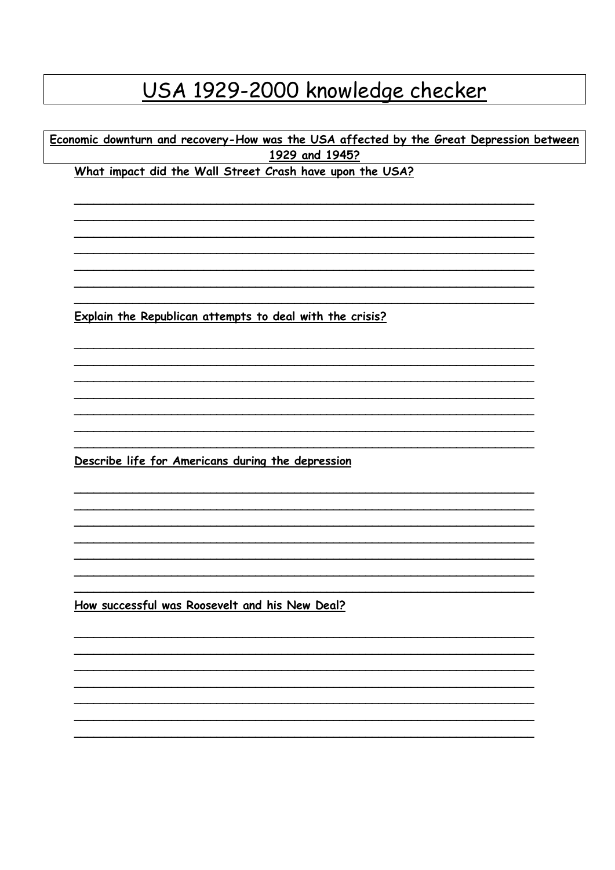## USA 1929-2000 knowledge checker

Economic downturn and recovery-How was the USA affected by the Great Depression between 1929 and 1945?

What impact did the Wall Street Crash have upon the USA?

Explain the Republican attempts to deal with the crisis?

Describe life for Americans during the depression

How successful was Roosevelt and his New Deal?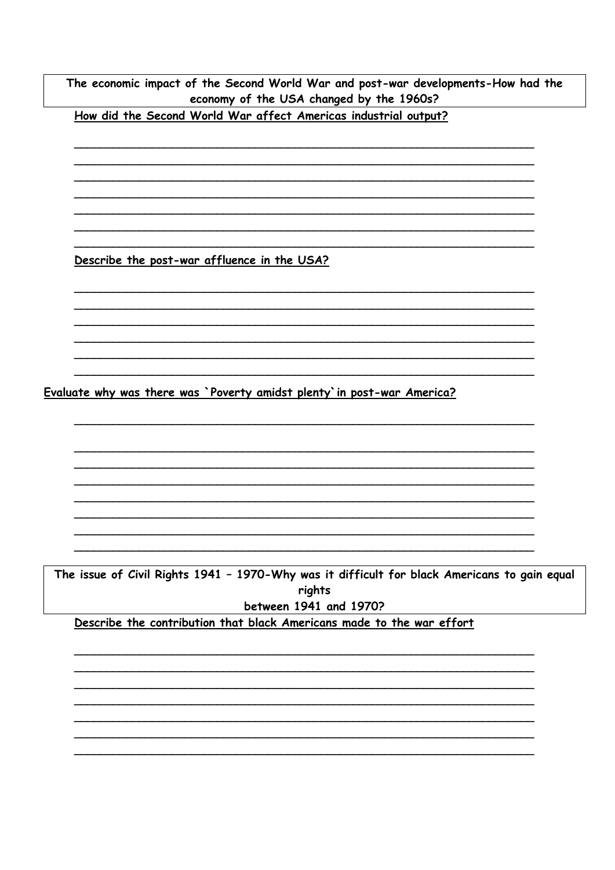The economic impact of the Second World War and post-war developments-How had the economy of the USA changed by the 1960s?

How did the Second World War affect Americas industrial output?

Describe the post-war affluence in the USA?

Evaluate why was there was `Poverty amidst plenty` in post-war America?

The issue of Civil Rights 1941 - 1970-Why was it difficult for black Americans to gain equal rights between 1941 and 1970?

Describe the contribution that black Americans made to the war effort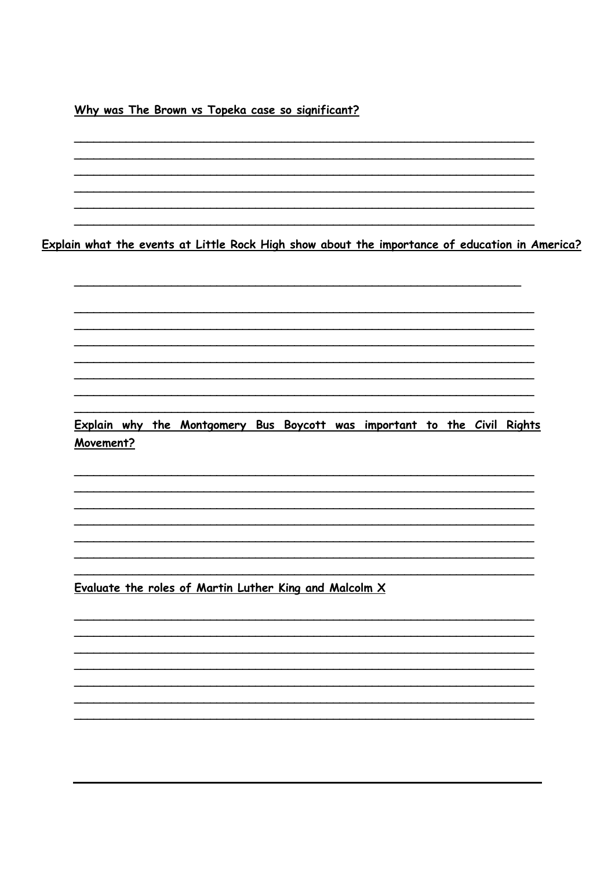Why was The Brown vs Topeka case so significant?

Explain what the events at Little Rock High show about the importance of education in America?

Explain why the Montgomery Bus Boycott was important to the Civil Rights Movement?

Evaluate the roles of Martin Luther King and Malcolm X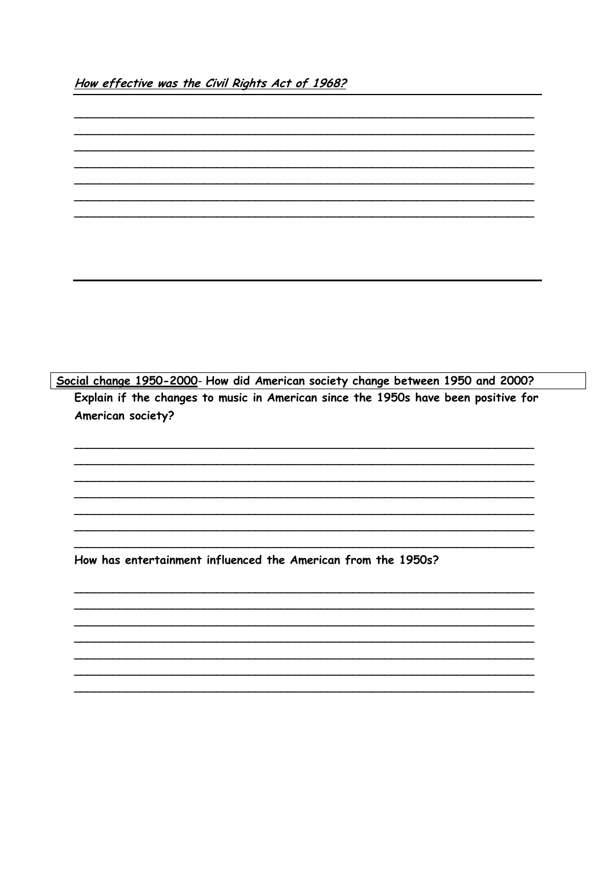Social change 1950-2000- How did American society change between 1950 and 2000? Explain if the changes to music in American since the 1950s have been positive for American society?

How has entertainment influenced the American from the 1950s?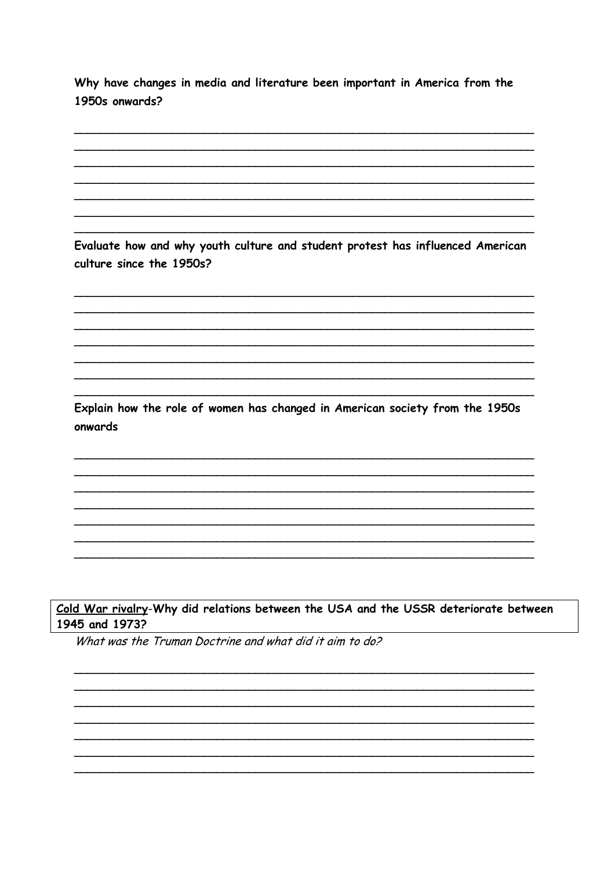Why have changes in media and literature been important in America from the 1950s onwards?

Evaluate how and why youth culture and student protest has influenced American culture since the 1950s?

Explain how the role of women has changed in American society from the 1950s onwards

## Cold War rivalry-Why did relations between the USA and the USSR deteriorate between 1945 and 1973?

What was the Truman Doctrine and what did it aim to do?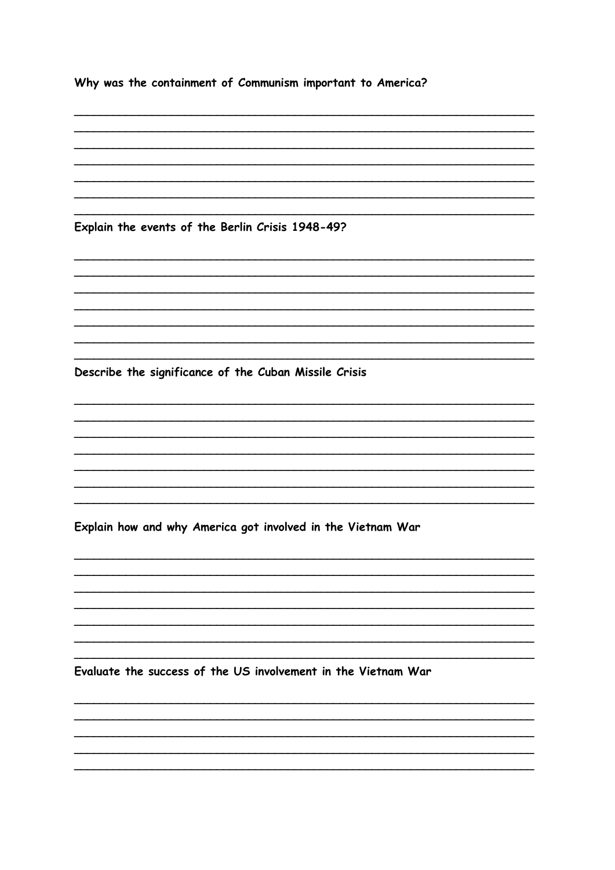Why was the containment of Communism important to America?

Explain the events of the Berlin Crisis 1948-49?

Describe the significance of the Cuban Missile Crisis

Explain how and why America got involved in the Vietnam War

Evaluate the success of the US involvement in the Vietnam War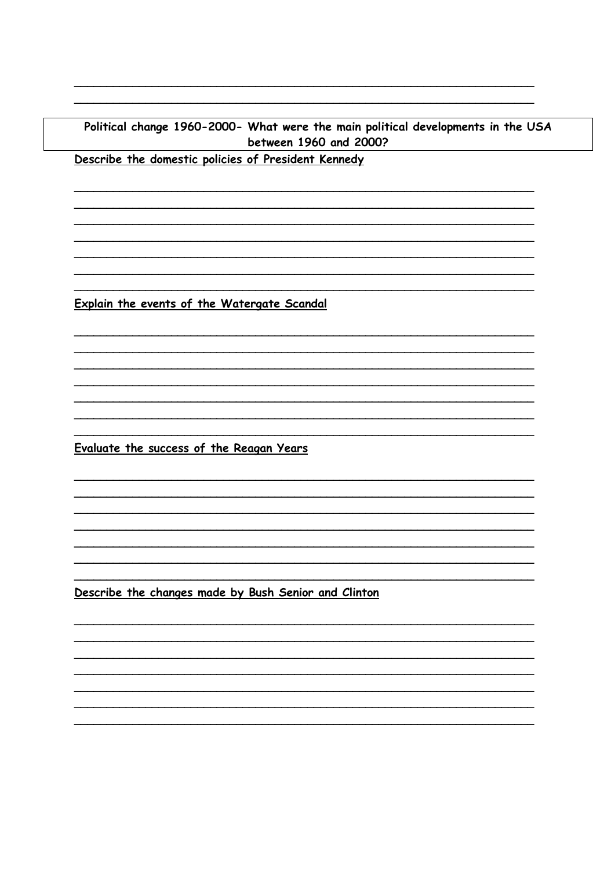## Political change 1960-2000- What were the main political developments in the USA between 1960 and 2000?

Describe the domestic policies of President Kennedy

Explain the events of the Watergate Scandal

Evaluate the success of the Reagan Years

Describe the changes made by Bush Senior and Clinton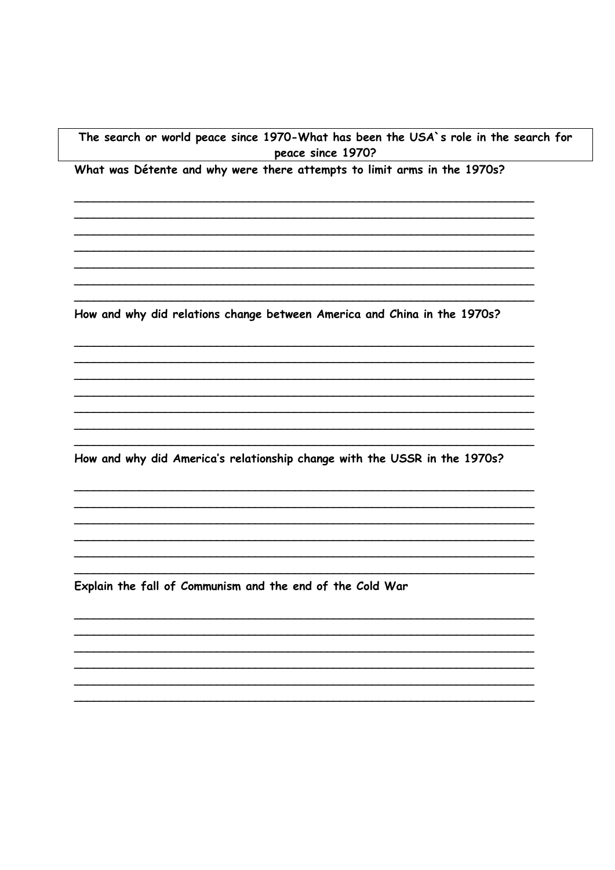## The search or world peace since 1970-What has been the USA's role in the search for peace since 1970?

What was Détente and why were there attempts to limit arms in the 1970s?

How and why did relations change between America and China in the 1970s?

How and why did America's relationship change with the USSR in the 1970s?

Explain the fall of Communism and the end of the Cold War